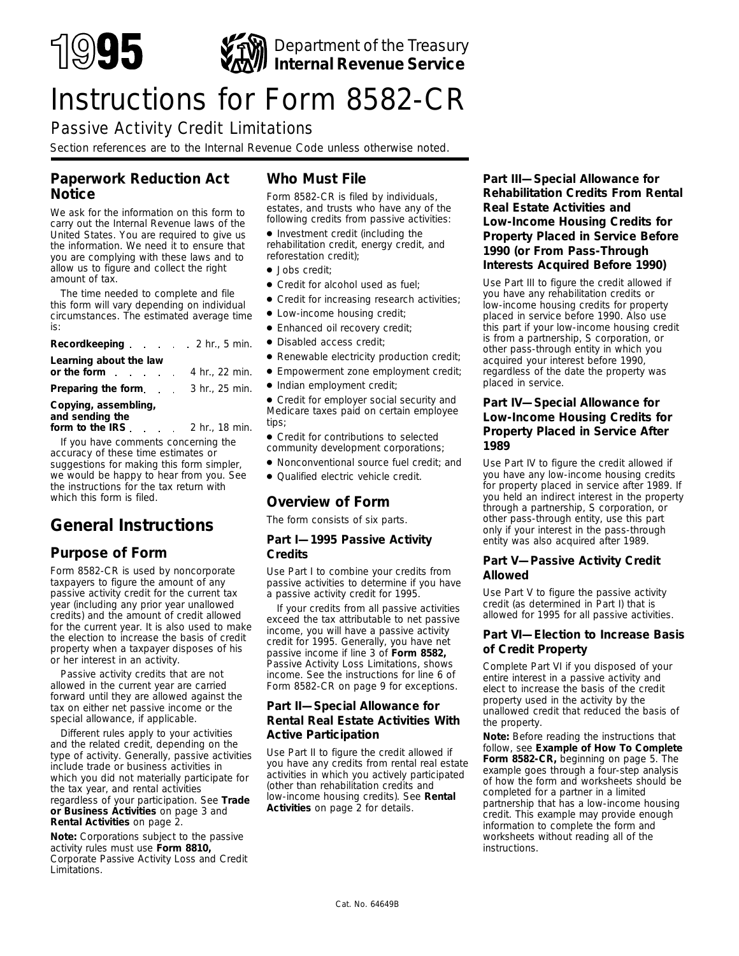

# Instructions for Form 8582-CR

# Passive Activity Credit Limitations

*Section references are to the Internal Revenue Code unless otherwise noted.*

# **Paperwork Reduction Act Notice**

We ask for the information on this form to carry out the Internal Revenue laws of the United States. You are required to give us the information. We need it to ensure that you are complying with these laws and to allow us to figure and collect the right amount of tax.

The time needed to complete and file this form will vary depending on individual circumstances. The estimated average time is:

| Recordkeeping 2 hr., 5 min.               |                |
|-------------------------------------------|----------------|
| Learning about the law                    |                |
| or the form                               | 4 hr., 22 min. |
| <b>Preparing the form.</b> 3 hr., 25 min. |                |
|                                           |                |

### **Copying, assembling, and sending the**

**form to the IRS**  $\ldots$  2 hr., 18 min.

If you have comments concerning the accuracy of these time estimates or suggestions for making this form simpler, we would be happy to hear from you. See the instructions for the tax return with which this form is filed.

# **General Instructions**

# **Purpose of Form**

Form 8582-CR is used by noncorporate taxpayers to figure the amount of any passive activity credit for the current tax year (including any prior year unallowed credits) and the amount of credit allowed for the current year. It is also used to make the election to increase the basis of credit property when a taxpayer disposes of his or her interest in an activity.

Passive activity credits that are not allowed in the current year are carried forward until they are allowed against the tax on either net passive income or the special allowance, if applicable.

Different rules apply to your activities and the related credit, depending on the type of activity. Generally, passive activities include trade or business activities in which you did not materially participate for the tax year, and rental activities regardless of your participation. See **Trade or Business Activities** on page 3 and **Rental Activities** on page 2.

**Note:** *Corporations subject to the passive activity rules must use Form 8810, Corporate Passive Activity Loss and Credit Limitations.*

# **Who Must File**

Form 8582-CR is filed by individuals, estates, and trusts who have any of the following credits from passive activities:

● Investment credit (including the rehabilitation credit, energy credit, and reforestation credit);

- Jobs credit;
- Credit for alcohol used as fuel;
- Credit for increasing research activities;
- Low-income housing credit;
- Enhanced oil recovery credit;
- Disabled access credit;
- Renewable electricity production credit;
- Empowerment zone employment credit;
- Indian employment credit;

● Credit for employer social security and Medicare taxes paid on certain employee tips;

● Credit for contributions to selected community development corporations;

- Nonconventional source fuel credit; and
- Qualified electric vehicle credit.

# **Overview of Form**

The form consists of six parts.

### **Part I—1995 Passive Activity Credits**

Use Part I to combine your credits from passive activities to determine if you have a passive activity credit for 1995.

If your credits from all passive activities exceed the tax attributable to net passive income, you will have a passive activity credit for 1995. Generally, you have net passive income if line 3 of **Form 8582,** Passive Activity Loss Limitations, shows income. See the instructions for line 6 of Form 8582-CR on page 9 for exceptions.

### **Part II—Special Allowance for Rental Real Estate Activities With Active Participation**

Use Part II to figure the credit allowed if you have any credits from rental real estate activities in which you actively participated (other than rehabilitation credits and low-income housing credits). See **Rental Activities** on page 2 for details.

**Part III—Special Allowance for Rehabilitation Credits From Rental Real Estate Activities and Low-Income Housing Credits for Property Placed in Service Before 1990 (or From Pass-Through Interests Acquired Before 1990)**

Use Part III to figure the credit allowed if you have any rehabilitation credits or low-income housing credits for property placed in service before 1990. Also use this part if your low-income housing credit is from a partnership, S corporation, or other pass-through entity in which you acquired your interest before 1990, regardless of the date the property was placed in service.

### **Part IV—Special Allowance for Low-Income Housing Credits for Property Placed in Service After 1989**

Use Part IV to figure the credit allowed if you have any low-income housing credits for property placed in service after 1989. If you held an indirect interest in the property through a partnership, S corporation, or other pass-through entity, use this part only if your interest in the pass-through entity was also acquired after 1989.

### **Part V—Passive Activity Credit Allowed**

Use Part V to figure the passive activity credit (as determined in Part I) that is allowed for 1995 for all passive activities.

### **Part VI—Election to Increase Basis of Credit Property**

Complete Part VI if you disposed of your entire interest in a passive activity and elect to increase the basis of the credit property used in the activity by the unallowed credit that reduced the basis of the property.

**Note:** *Before reading the instructions that follow, see Example of How To Complete Form 8582-CR, beginning on page 5. The example goes through a four-step analysis of how the form and worksheets should be completed for a partner in a limited partnership that has a low-income housing credit. This example may provide enough information to complete the form and worksheets without reading all of the instructions.*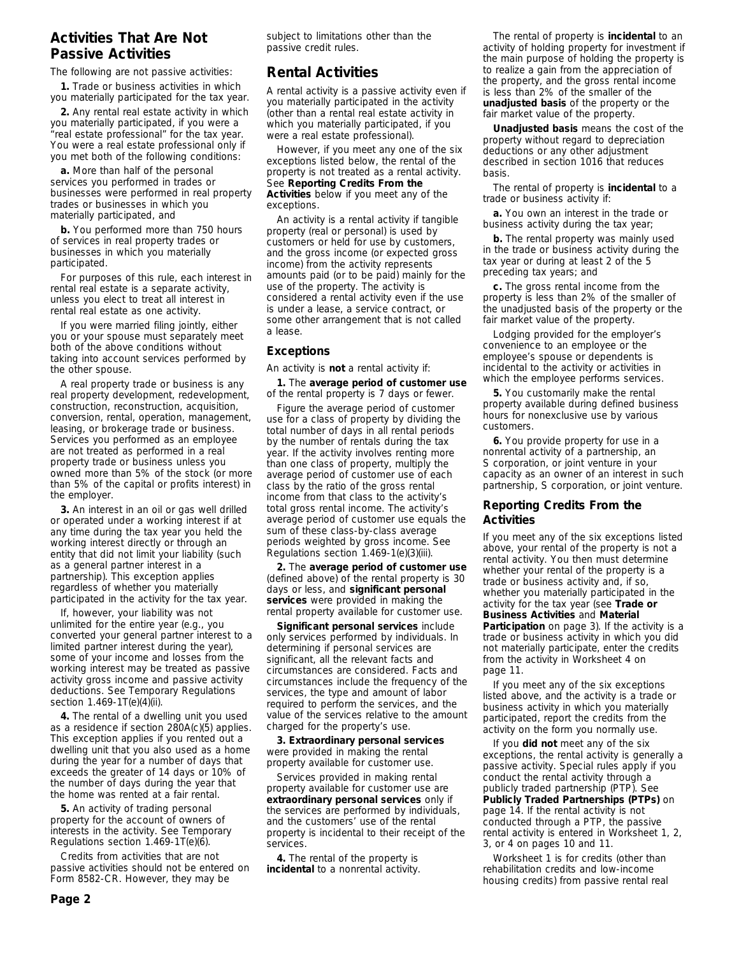### **Activities That Are Not Passive Activities**

The following are not passive activities:

**1.** Trade or business activities in which you materially participated for the tax year.

**2.** Any rental real estate activity in which you materially participated, if you were a "real estate professional" for the tax year. You were a real estate professional only if you met both of the following conditions:

**a.** More than half of the personal services you performed in trades or businesses were performed in real property trades or businesses in which you materially participated, and

**b.** You performed more than 750 hours of services in real property trades or businesses in which you materially participated.

For purposes of this rule, each interest in rental real estate is a separate activity, unless you elect to treat all interest in rental real estate as one activity.

If you were married filing jointly, either you or your spouse must separately meet both of the above conditions without taking into account services performed by the other spouse.

A real property trade or business is any real property development, redevelopment, construction, reconstruction, acquisition, conversion, rental, operation, management, leasing, or brokerage trade or business. Services you performed as an employee are not treated as performed in a real property trade or business unless you owned more than 5% of the stock (or more than 5% of the capital or profits interest) in the employer.

**3.** An interest in an oil or gas well drilled or operated under a working interest if at any time during the tax year you held the working interest directly or through an entity that did not limit your liability (such as a general partner interest in a partnership). This exception applies regardless of whether you materially participated in the activity for the tax year.

If, however, your liability was not unlimited for the entire year (e.g., you converted your general partner interest to a limited partner interest during the year), some of your income and losses from the working interest may be treated as passive activity gross income and passive activity deductions. See Temporary Regulations section 1.469-1T(e)(4)(ii).

**4.** The rental of a dwelling unit you used as a residence if section 280A(c)(5) applies. This exception applies if you rented out a dwelling unit that you also used as a home during the year for a number of days that exceeds the greater of 14 days or 10% of the number of days during the year that the home was rented at a fair rental.

**5.** An activity of trading personal property for the account of owners of interests in the activity. See Temporary Regulations section 1.469-1T(e)(6).

Credits from activities that are not passive activities should not be entered on Form 8582-CR. However, they may be

subject to limitations other than the passive credit rules.

# **Rental Activities**

A rental activity is a passive activity even if you materially participated in the activity (other than a rental real estate activity in which you materially participated, if you were a real estate professional).

However, if you meet any one of the six exceptions listed below, the rental of the property is not treated as a rental activity. See **Reporting Credits From the Activities** below if you meet any of the exceptions.

An activity is a rental activity if tangible property (real or personal) is used by customers or held for use by customers, and the gross income (or expected gross income) from the activity represents amounts paid (or to be paid) mainly for the use of the property. The activity is considered a rental activity even if the use is under a lease, a service contract, or some other arrangement that is not called a lease.

### **Exceptions**

An activity is **not** a rental activity if:

**1.** The **average period of customer use** of the rental property is 7 days or fewer.

Figure the average period of customer use for a class of property by dividing the total number of days in all rental periods by the number of rentals during the tax year. If the activity involves renting more than one class of property, multiply the average period of customer use of each class by the ratio of the gross rental income from that class to the activity's total gross rental income. The activity's average period of customer use equals the sum of these class-by-class average periods weighted by gross income. See Regulations section 1.469-1(e)(3)(iii).

**2.** The **average period of customer use** (defined above) of the rental property is 30 days or less, and **significant personal services** were provided in making the rental property available for customer use.

**Significant personal services** include only services performed by individuals. In determining if personal services are significant, all the relevant facts and circumstances are considered. Facts and circumstances include the frequency of the services, the type and amount of labor required to perform the services, and the value of the services relative to the amount charged for the property's use.

**3. Extraordinary personal services** were provided in making the rental property available for customer use.

Services provided in making rental property available for customer use are **extraordinary personal services** only if the services are performed by individuals, and the customers' use of the rental property is incidental to their receipt of the services.

**4.** The rental of the property is **incidental** to a nonrental activity.

The rental of property is **incidental** to an activity of holding property for investment if the main purpose of holding the property is to realize a gain from the appreciation of the property, and the gross rental income is less than 2% of the smaller of the **unadjusted basis** of the property or the fair market value of the property.

**Unadjusted basis** means the cost of the property without regard to depreciation deductions or any other adjustment described in section 1016 that reduces basis.

The rental of property is **incidental** to a trade or business activity if:

**a.** You own an interest in the trade or business activity during the tax year;

**b.** The rental property was mainly used in the trade or business activity during the tax year or during at least 2 of the 5 preceding tax years; and

**c.** The gross rental income from the property is less than 2% of the smaller of the unadjusted basis of the property or the fair market value of the property.

Lodging provided for the employer's convenience to an employee or the employee's spouse or dependents is incidental to the activity or activities in which the employee performs services.

**5.** You customarily make the rental property available during defined business hours for nonexclusive use by various customers.

**6.** You provide property for use in a nonrental activity of a partnership, an S corporation, or joint venture in your capacity as an owner of an interest in such partnership, S corporation, or joint venture.

### **Reporting Credits From the Activities**

If you meet any of the six exceptions listed above, your rental of the property is not a rental activity. You then must determine whether your rental of the property is a trade or business activity and, if so, whether you materially participated in the activity for the tax year (see **Trade or Business Activities** and **Material**

**Participation** on page 3). If the activity is a trade or business activity in which you did not materially participate, enter the credits from the activity in Worksheet 4 on page 11.

If you meet any of the six exceptions listed above, and the activity is a trade or business activity in which you materially participated, report the credits from the activity on the form you normally use.

If you **did not** meet any of the six exceptions, the rental activity is generally a passive activity. Special rules apply if you conduct the rental activity through a publicly traded partnership (PTP). See **Publicly Traded Partnerships (PTPs)** on page 14. If the rental activity is not conducted through a PTP, the passive rental activity is entered in Worksheet 1, 2, 3, or 4 on pages 10 and 11.

Worksheet 1 is for credits (other than rehabilitation credits and low-income housing credits) from passive rental real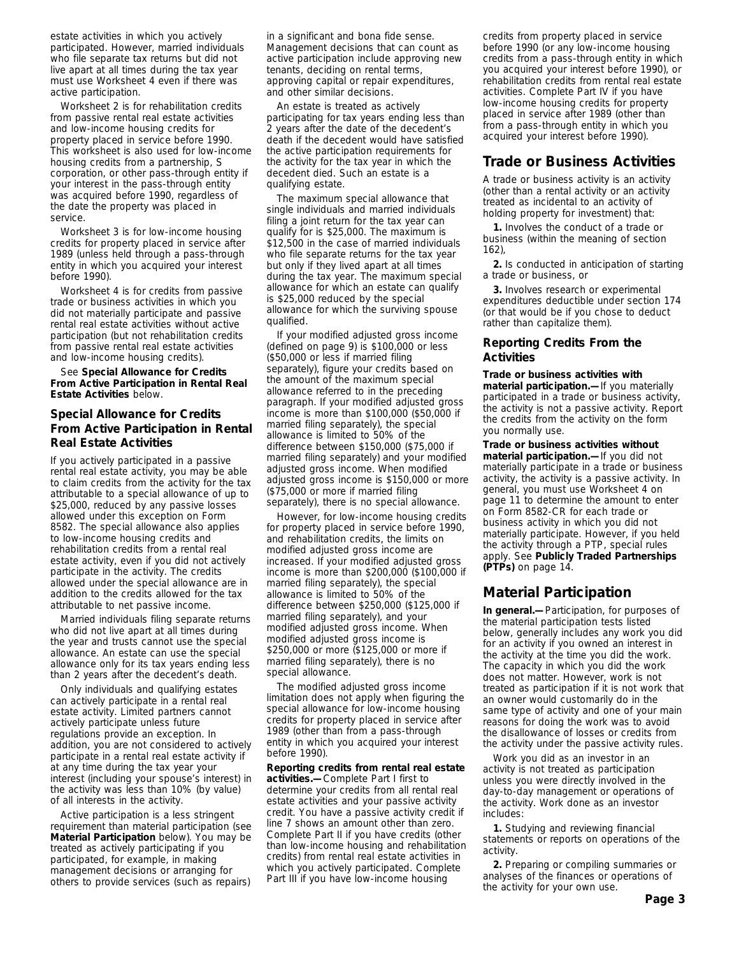estate activities in which you actively participated. However, married individuals who file separate tax returns but did not live apart at all times during the tax year must use Worksheet 4 even if there was active participation.

Worksheet 2 is for rehabilitation credits from passive rental real estate activities and low-income housing credits for property placed in service before 1990. This worksheet is also used for low-income housing credits from a partnership, S corporation, or other pass-through entity if your interest in the pass-through entity was acquired before 1990, regardless of the date the property was placed in service.

Worksheet 3 is for low-income housing credits for property placed in service after 1989 (unless held through a pass-through entity in which you acquired your interest before 1990).

Worksheet 4 is for credits from passive trade or business activities in which you did not materially participate and passive rental real estate activities without active participation (but not rehabilitation credits from passive rental real estate activities and low-income housing credits).

### See **Special Allowance for Credits From Active Participation in Rental Real Estate Activities** below.

### **Special Allowance for Credits From Active Participation in Rental Real Estate Activities**

If you actively participated in a passive rental real estate activity, you may be able to claim credits from the activity for the tax attributable to a special allowance of up to \$25,000, reduced by any passive losses allowed under this exception on Form 8582. The special allowance also applies to low-income housing credits and rehabilitation credits from a rental real estate activity, even if you did not actively participate in the activity. The credits allowed under the special allowance are in addition to the credits allowed for the tax attributable to net passive income.

Married individuals filing separate returns who did not live apart at all times during the year and trusts cannot use the special allowance. An estate can use the special allowance only for its tax years ending less than 2 years after the decedent's death.

Only individuals and qualifying estates can actively participate in a rental real estate activity. Limited partners cannot actively participate unless future regulations provide an exception. In addition, you are not considered to actively participate in a rental real estate activity if at any time during the tax year your interest (including your spouse's interest) in the activity was less than 10% (by value) of all interests in the activity.

Active participation is a less stringent requirement than material participation (see **Material Participation** below). You may be treated as actively participating if you participated, for example, in making management decisions or arranging for others to provide services (such as repairs)

in a significant and bona fide sense. Management decisions that can count as active participation include approving new tenants, deciding on rental terms, approving capital or repair expenditures, and other similar decisions.

An estate is treated as actively participating for tax years ending less than 2 years after the date of the decedent's death if the decedent would have satisfied the active participation requirements for the activity for the tax year in which the decedent died. Such an estate is a qualifying estate.

The maximum special allowance that single individuals and married individuals filing a joint return for the tax year can qualify for is \$25,000. The maximum is \$12,500 in the case of married individuals who file separate returns for the tax year but only if they lived apart at all times during the tax year. The maximum special allowance for which an estate can qualify is \$25,000 reduced by the special allowance for which the surviving spouse qualified.

If your modified adjusted gross income (defined on page 9) is \$100,000 or less (\$50,000 or less if married filing separately), figure your credits based on the amount of the maximum special allowance referred to in the preceding paragraph. If your modified adjusted gross income is more than \$100,000 (\$50,000 if married filing separately), the special allowance is limited to 50% of the difference between \$150,000 (\$75,000 if married filing separately) and your modified adjusted gross income. When modified adjusted gross income is \$150,000 or more (\$75,000 or more if married filing separately), there is no special allowance.

However, for low-income housing credits for property placed in service before 1990, and rehabilitation credits, the limits on modified adjusted gross income are increased. If your modified adjusted gross income is more than \$200,000 (\$100,000 if married filing separately), the special allowance is limited to 50% of the difference between \$250,000 (\$125,000 if married filing separately), and your modified adjusted gross income. When modified adjusted gross income is \$250,000 or more (\$125,000 or more if married filing separately), there is no special allowance.

The modified adjusted gross income limitation does not apply when figuring the special allowance for low-income housing credits for property placed in service after 1989 (other than from a pass-through entity in which you acquired your interest before 1990).

**Reporting credits from rental real estate activities.—**Complete Part I first to determine your credits from all rental real estate activities and your passive activity credit. You have a passive activity credit if line 7 shows an amount other than zero. Complete Part II if you have credits (other than low-income housing and rehabilitation credits) from rental real estate activities in which you actively participated. Complete Part III if you have low-income housing

credits from property placed in service before 1990 (or any low-income housing credits from a pass-through entity in which you acquired your interest before 1990), or rehabilitation credits from rental real estate activities. Complete Part IV if you have low-income housing credits for property placed in service after 1989 (other than from a pass-through entity in which you acquired your interest before 1990).

### **Trade or Business Activities**

A trade or business activity is an activity (other than a rental activity or an activity treated as incidental to an activity of holding property for investment) that:

**1.** Involves the conduct of a trade or business (within the meaning of section 162),

**2.** Is conducted in anticipation of starting a trade or business, or

**3.** Involves research or experimental expenditures deductible under section 174 (or that would be if you chose to deduct rather than capitalize them).

### **Reporting Credits From the Activities**

**Trade or business activities with material participation.—**If you materially participated in a trade or business activity, the activity is not a passive activity. Report the credits from the activity on the form you normally use.

**Trade or business activities without material participation.—**If you did not materially participate in a trade or business activity, the activity is a passive activity. In general, you must use Worksheet 4 on page 11 to determine the amount to enter on Form 8582-CR for each trade or business activity in which you did not materially participate. However, if you held the activity through a PTP, special rules apply. See **Publicly Traded Partnerships (PTPs)** on page 14.

# **Material Participation**

**In general.—**Participation, for purposes of the material participation tests listed below, generally includes any work you did for an activity if you owned an interest in the activity at the time you did the work. The capacity in which you did the work does not matter. However, work is not treated as participation if it is not work that an owner would customarily do in the same type of activity and one of your main reasons for doing the work was to avoid the disallowance of losses or credits from the activity under the passive activity rules.

Work you did as an investor in an activity is not treated as participation unless you were directly involved in the day-to-day management or operations of the activity. Work done as an investor includes:

**1.** Studying and reviewing financial statements or reports on operations of the activity.

**2.** Preparing or compiling summaries or analyses of the finances or operations of the activity for your own use.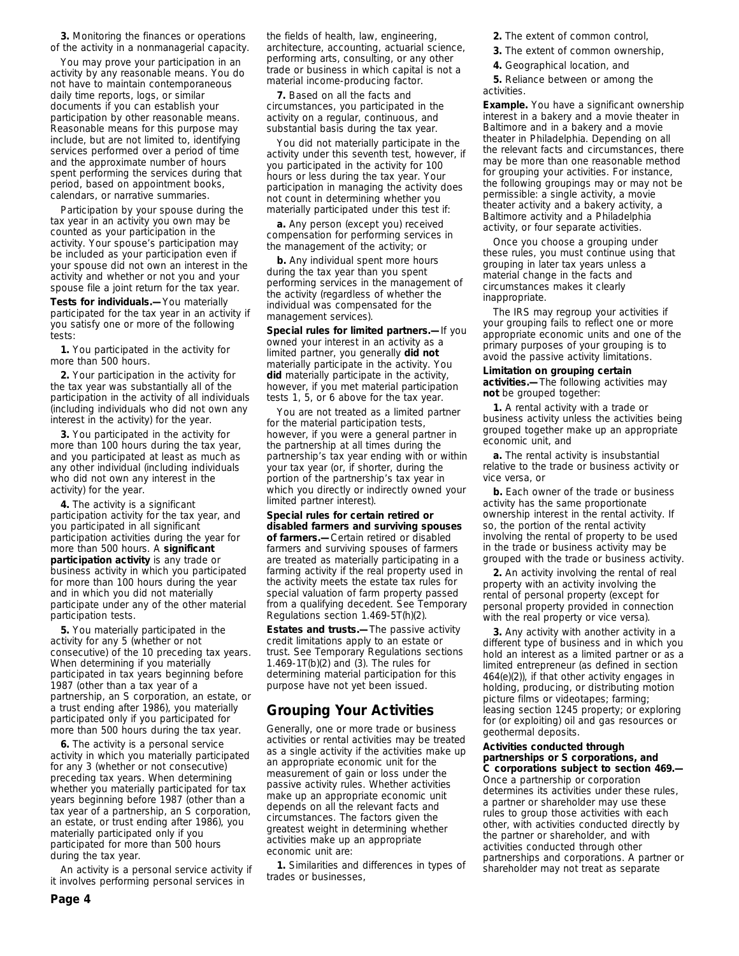**3.** Monitoring the finances or operations of the activity in a nonmanagerial capacity.

You may prove your participation in an activity by any reasonable means. You do not have to maintain contemporaneous daily time reports, logs, or similar documents if you can establish your participation by other reasonable means. Reasonable means for this purpose may include, but are not limited to, identifying services performed over a period of time and the approximate number of hours spent performing the services during that period, based on appointment books, calendars, or narrative summaries.

Participation by your spouse during the tax year in an activity you own may be counted as your participation in the activity. Your spouse's participation may be included as your participation even if your spouse did not own an interest in the activity and whether or not you and your spouse file a joint return for the tax year.

**Tests for individuals.—**You materially participated for the tax year in an activity if you satisfy one or more of the following tests:

**1.** You participated in the activity for more than 500 hours.

**2.** Your participation in the activity for the tax year was substantially all of the participation in the activity of all individuals (including individuals who did not own any interest in the activity) for the year.

**3.** You participated in the activity for more than 100 hours during the tax year, and you participated at least as much as any other individual (including individuals who did not own any interest in the activity) for the year.

**4.** The activity is a significant participation activity for the tax year, and you participated in all significant participation activities during the year for more than 500 hours. A **significant participation activity** is any trade or business activity in which you participated for more than 100 hours during the year and in which you did not materially participate under any of the other material participation tests.

**5.** You materially participated in the activity for any 5 (whether or not consecutive) of the 10 preceding tax years. When determining if you materially participated in tax years beginning before 1987 (other than a tax year of a partnership, an S corporation, an estate, or a trust ending after 1986), you materially participated only if you participated for more than 500 hours during the tax year.

**6.** The activity is a personal service activity in which you materially participated for any 3 (whether or not consecutive) preceding tax years. When determining whether you materially participated for tax years beginning before 1987 (other than a tax year of a partnership, an S corporation, an estate, or trust ending after 1986), you materially participated only if you participated for more than 500 hours during the tax year.

An activity is a personal service activity if it involves performing personal services in

the fields of health, law, engineering, architecture, accounting, actuarial science, performing arts, consulting, or any other trade or business in which capital is not a material income-producing factor.

**7.** Based on all the facts and circumstances, you participated in the activity on a regular, continuous, and substantial basis during the tax year.

You did not materially participate in the activity under this seventh test, however, if you participated in the activity for 100 hours or less during the tax year. Your participation in managing the activity does not count in determining whether you materially participated under this test if:

**a.** Any person (except you) received compensation for performing services in the management of the activity; or

**b.** Any individual spent more hours during the tax year than you spent performing services in the management of the activity (regardless of whether the individual was compensated for the management services).

**Special rules for limited partners.—**If you owned your interest in an activity as a limited partner, you generally **did not** materially participate in the activity. You **did** materially participate in the activity, however, if you met material participation tests 1, 5, or 6 above for the tax year.

You are not treated as a limited partner for the material participation tests, however, if you were a general partner in the partnership at all times during the partnership's tax year ending with or within your tax year (or, if shorter, during the portion of the partnership's tax year in which you directly or indirectly owned your limited partner interest).

**Special rules for certain retired or disabled farmers and surviving spouses of farmers.—**Certain retired or disabled farmers and surviving spouses of farmers are treated as materially participating in a farming activity if the real property used in the activity meets the estate tax rules for special valuation of farm property passed from a qualifying decedent. See Temporary Regulations section 1.469-5T(h)(2).

**Estates and trusts.—**The passive activity credit limitations apply to an estate or trust. See Temporary Regulations sections 1.469-1T(b)(2) and (3). The rules for determining material participation for this purpose have not yet been issued.

### **Grouping Your Activities**

Generally, one or more trade or business activities or rental activities may be treated as a single activity if the activities make up an appropriate economic unit for the measurement of gain or loss under the passive activity rules. Whether activities make up an appropriate economic unit depends on all the relevant facts and circumstances. The factors given the greatest weight in determining whether activities make up an appropriate economic unit are:

**1.** Similarities and differences in types of trades or businesses,

**2.** The extent of common control,

- **3.** The extent of common ownership,
- **4.** Geographical location, and

**5.** Reliance between or among the activities.

**Example.** You have a significant ownership interest in a bakery and a movie theater in Baltimore and in a bakery and a movie theater in Philadelphia. Depending on all the relevant facts and circumstances, there may be more than one reasonable method for grouping your activities. For instance, the following groupings may or may not be permissible: a single activity, a movie theater activity and a bakery activity, a Baltimore activity and a Philadelphia activity, or four separate activities.

Once you choose a grouping under these rules, you must continue using that grouping in later tax years unless a material change in the facts and circumstances makes it clearly inappropriate.

The IRS may regroup your activities if your grouping fails to reflect one or more appropriate economic units and one of the primary purposes of your grouping is to avoid the passive activity limitations.

### **Limitation on grouping certain**

**activities.—**The following activities may **not** be grouped together:

**1.** A rental activity with a trade or business activity unless the activities being grouped together make up an appropriate economic unit, and

**a.** The rental activity is insubstantial relative to the trade or business activity or vice versa, or

**b.** Each owner of the trade or business activity has the same proportionate ownership interest in the rental activity. If so, the portion of the rental activity involving the rental of property to be used in the trade or business activity may be grouped with the trade or business activity.

**2.** An activity involving the rental of real property with an activity involving the rental of personal property (except for personal property provided in connection with the real property or vice versa).

**3.** Any activity with another activity in a different type of business and in which you hold an interest as a limited partner or as a limited entrepreneur (as defined in section 464(e)(2)), if that other activity engages in holding, producing, or distributing motion picture films or videotapes; farming; leasing section 1245 property; or exploring for (or exploiting) oil and gas resources or geothermal deposits.

### **Activities conducted through partnerships or S corporations, and C corporations subject to section 469.—**

Once a partnership or corporation determines its activities under these rules, a partner or shareholder may use these rules to group those activities with each other, with activities conducted directly by the partner or shareholder, and with activities conducted through other partnerships and corporations. A partner or shareholder may not treat as separate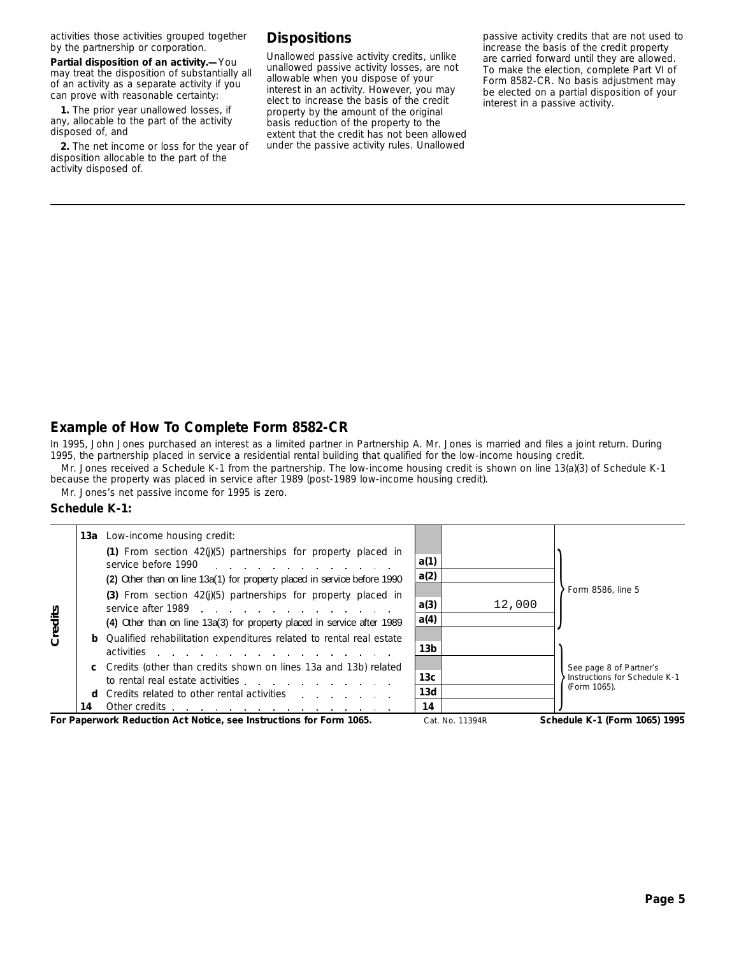activities those activities grouped together by the partnership or corporation.

**Partial disposition of an activity.—**You may treat the disposition of substantially all of an activity as a separate activity if you can prove with reasonable certainty:

**1.** The prior year unallowed losses, if any, allocable to the part of the activity disposed of, and

**2.** The net income or loss for the year of disposition allocable to the part of the activity disposed of.

# **Dispositions**

Unallowed passive activity credits, unlike unallowed passive activity losses, are not allowable when you dispose of your interest in an activity. However, you may elect to increase the basis of the credit property by the amount of the original basis reduction of the property to the extent that the credit has not been allowed under the passive activity rules. Unallowed

passive activity credits that are not used to increase the basis of the credit property are carried forward until they are allowed. To make the election, complete Part VI of Form 8582-CR. No basis adjustment may be elected on a partial disposition of your interest in a passive activity.

# **Example of How To Complete Form 8582-CR**

In 1995, John Jones purchased an interest as a limited partner in Partnership A. Mr. Jones is married and files a joint return. During 1995, the partnership placed in service a residential rental building that qualified for the low-income housing credit.

Mr. Jones received a Schedule K-1 from the partnership. The low-income housing credit is shown on line 13(a)(3) of Schedule K-1 because the property was placed in service after 1989 (post-1989 low-income housing credit).

Mr. Jones's net passive income for 1995 is zero.

### **Schedule K-1:**

|         |    | <b>13a</b> Low-income housing credit:                                                                                                                                                                                                                                                                                        |                 |                 |                                                          |
|---------|----|------------------------------------------------------------------------------------------------------------------------------------------------------------------------------------------------------------------------------------------------------------------------------------------------------------------------------|-----------------|-----------------|----------------------------------------------------------|
|         |    | (1) From section $42(j)(5)$ partnerships for property placed in<br>service before 1990                                                                                                                                                                                                                                       | a(1)            |                 |                                                          |
|         |    | (2) Other than on line 13a(1) for property placed in service before 1990                                                                                                                                                                                                                                                     | a(2)            |                 |                                                          |
|         |    | (3) From section $42(j)(5)$ partnerships for property placed in<br>service after 1989 and the contract of the service after 1989                                                                                                                                                                                             | a(3)            | 12,000          | Form 8586, line 5                                        |
|         |    | (4) Other than on line 13a(3) for property placed in service after 1989                                                                                                                                                                                                                                                      | a(4)            |                 |                                                          |
| Credits |    | <b>b</b> Qualified rehabilitation expenditures related to rental real estate<br>activities<br>and the contract of the contract of the contract of the contract of the contract of the contract of the contract of the contract of the contract of the contract of the contract of the contract of the contract of the contra | 13 <sub>b</sub> |                 |                                                          |
|         |    | c Credits (other than credits shown on lines 13a and 13b) related<br>to rental real estate activities                                                                                                                                                                                                                        | 13 <sub>c</sub> |                 | See page 8 of Partner's<br>Instructions for Schedule K-1 |
|         |    | <b>d</b> Credits related to other rental activities                                                                                                                                                                                                                                                                          | 13d             |                 | (Form 1065).                                             |
|         | 14 | Other credits                                                                                                                                                                                                                                                                                                                | 14              |                 |                                                          |
|         |    | For Paperwork Reduction Act Notice, see Instructions for Form 1065.                                                                                                                                                                                                                                                          |                 | Cat. No. 11394R | Schedule K-1 (Form 1065) 1995                            |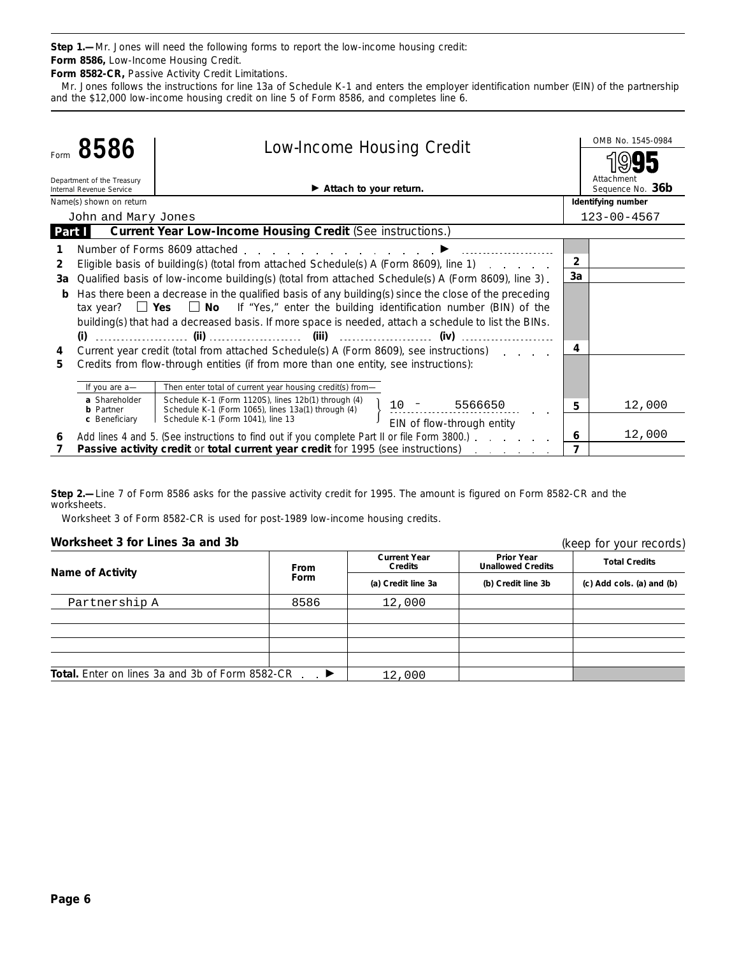**Step 1.—**Mr. Jones will need the following forms to report the low-income housing credit: **Form 8586,** Low-Income Housing Credit.

**Form 8582-CR,** Passive Activity Credit Limitations.

Mr. Jones follows the instructions for line 13a of Schedule K-1 and enters the employer identification number (EIN) of the partnership and the \$12,000 low-income housing credit on line 5 of Form 8586, and completes line 6.

|        |                                                        | 8586<br><b>Low-Income Housing Credit</b>                                                                                    |                |                                |
|--------|--------------------------------------------------------|-----------------------------------------------------------------------------------------------------------------------------|----------------|--------------------------------|
|        |                                                        |                                                                                                                             |                |                                |
|        | Department of the Treasury<br>Internal Revenue Service | $\blacktriangleright$ Attach to your return.                                                                                |                | Attachment<br>Sequence No. 36b |
|        | Name(s) shown on return                                |                                                                                                                             |                | Identifying number             |
|        | John and Mary Jones                                    |                                                                                                                             |                | $123 - 00 - 4567$              |
| Part I |                                                        | <b>Current Year Low-Income Housing Credit (See instructions.)</b>                                                           |                |                                |
|        |                                                        | Number of Forms 8609 attached $\blacksquare$                                                                                |                |                                |
| 2      |                                                        | Eligible basis of building(s) (total from attached Schedule(s) A (Form 8609), line 1)                                       | $\overline{2}$ |                                |
| За     |                                                        | Qualified basis of low-income building(s) (total from attached Schedule(s) A (Form 8609), line 3).                          | 3a             |                                |
| b      |                                                        | Has there been a decrease in the qualified basis of any building(s) since the close of the preceding                        |                |                                |
|        |                                                        | tax year? $\Box$ Yes $\Box$ No If "Yes," enter the building identification number (BIN) of the                              |                |                                |
|        |                                                        | building(s) that had a decreased basis. If more space is needed, attach a schedule to list the BINs.                        |                |                                |
|        |                                                        |                                                                                                                             |                |                                |
| 4      |                                                        | Current year credit (total from attached Schedule(s) A (Form 8609), see instructions)                                       | 4              |                                |
| 5      |                                                        | Credits from flow-through entities (if from more than one entity, see instructions):                                        |                |                                |
|        |                                                        |                                                                                                                             |                |                                |
|        | If you are a-                                          | Then enter total of current year housing credit(s) from-                                                                    |                |                                |
|        | a Shareholder<br><b>b</b> Partner                      | Schedule K-1 (Form 1120S), lines 12b(1) through (4)<br>$10 - 5566650$<br>Schedule K-1 (Form 1065), lines 13a(1) through (4) | 5              | 12,000                         |
|        | c Beneficiary                                          | Schedule K-1 (Form 1041), line 13<br>EIN of flow-through entity                                                             |                |                                |
| 6      |                                                        | Add lines 4 and 5. (See instructions to find out if you complete Part II or file Form 3800.)                                | 6              | 12,000                         |
|        |                                                        | Passive activity credit or total current year credit for 1995 (see instructions)<br>and a strategic control of the          | 7              |                                |

**Step 2.—**Line 7 of Form 8586 asks for the passive activity credit for 1995. The amount is figured on Form 8582-CR and the worksheets.

Worksheet 3 of Form 8582-CR is used for post-1989 low-income housing credits.

### **Worksheet 3 for Lines 3a and 3b**

(keep for your records)

| <b>WURSHEEL J TUL LIHES JA AHU JU</b>                  |                         | TREED TOT YOUT TECOLORS!              |                                               |                           |  |
|--------------------------------------------------------|-------------------------|---------------------------------------|-----------------------------------------------|---------------------------|--|
|                                                        | <b>From</b>             | <b>Current Year</b><br><b>Credits</b> | <b>Prior Year</b><br><b>Unallowed Credits</b> | <b>Total Credits</b>      |  |
| <b>Name of Activity</b>                                | <b>Form</b>             | (a) Credit line 3a                    | (b) Credit line 3b                            | (c) Add cols. (a) and (b) |  |
| Partnership A                                          | 8586                    | 12,000                                |                                               |                           |  |
|                                                        |                         |                                       |                                               |                           |  |
|                                                        |                         |                                       |                                               |                           |  |
|                                                        |                         |                                       |                                               |                           |  |
| <b>Total.</b> Enter on lines 3a and 3b of Form 8582-CR | . $\blacktriangleright$ | 12,000                                |                                               |                           |  |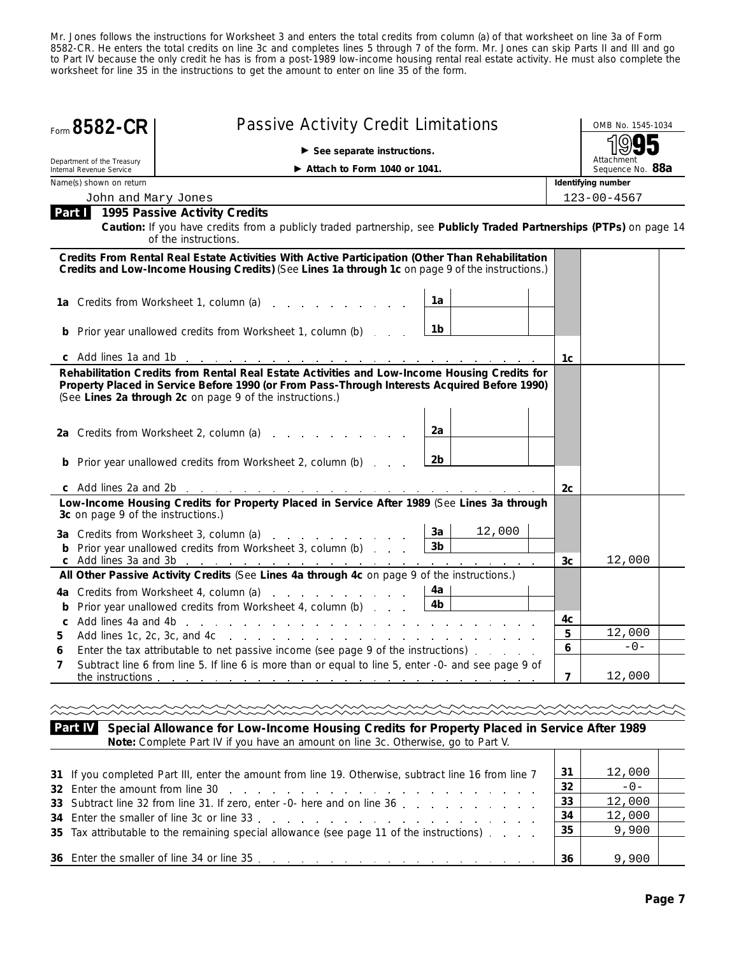Mr. Jones follows the instructions for Worksheet 3 and enters the total credits from column (a) of that worksheet on line 3a of Form 8582-CR. He enters the total credits on line 3c and completes lines 5 through 7 of the form. Mr. Jones can skip Parts II and III and go to Part IV because the only credit he has is from a post-1989 low-income housing rental real estate activity. He must also complete the worksheet for line 35 in the instructions to get the amount to enter on line 35 of the form.

| Form 8582-CR                                           | <b>Passive Activity Credit Limitations</b>                                                                                                                                                                                                                                            |  |                                | OMB No. 1545-1034  |  |
|--------------------------------------------------------|---------------------------------------------------------------------------------------------------------------------------------------------------------------------------------------------------------------------------------------------------------------------------------------|--|--------------------------------|--------------------|--|
|                                                        | $\triangleright$ See separate instructions.                                                                                                                                                                                                                                           |  |                                | ιο۱                |  |
| Department of the Treasury<br>Internal Revenue Service |                                                                                                                                                                                                                                                                                       |  | Attachment<br>Sequence No. 88a |                    |  |
| Name(s) shown on return                                |                                                                                                                                                                                                                                                                                       |  |                                | Identifying number |  |
| John and Mary Jones                                    |                                                                                                                                                                                                                                                                                       |  |                                | $123 - 00 - 4567$  |  |
|                                                        | Part 1995 Passive Activity Credits<br>Caution: If you have credits from a publicly traded partnership, see Publicly Traded Partnerships (PTPs) on page 14<br>of the instructions.                                                                                                     |  |                                |                    |  |
|                                                        | Credits From Rental Real Estate Activities With Active Participation (Other Than Rehabilitation<br>Credits and Low-Income Housing Credits) (See Lines 1a through 1c on page 9 of the instructions.)                                                                                   |  |                                |                    |  |
|                                                        | 1a<br>1a Credits from Worksheet 1, column (a)                                                                                                                                                                                                                                         |  |                                |                    |  |
|                                                        | 1b<br><b>b</b> Prior year unallowed credits from Worksheet 1, column (b)                                                                                                                                                                                                              |  |                                |                    |  |
|                                                        |                                                                                                                                                                                                                                                                                       |  | 1c                             |                    |  |
|                                                        | Property Placed in Service Before 1990 (or From Pass-Through Interests Acquired Before 1990)<br>(See Lines 2a through 2c on page 9 of the instructions.)<br>2a<br>2a Credits from Worksheet 2, column (a)<br>2b<br><b>b</b> Prior year unallowed credits from Worksheet 2, column (b) |  |                                |                    |  |
|                                                        |                                                                                                                                                                                                                                                                                       |  | 2c                             |                    |  |
| 3c on page 9 of the instructions.)                     | Low-Income Housing Credits for Property Placed in Service After 1989 (See Lines 3a through                                                                                                                                                                                            |  |                                |                    |  |
|                                                        | 12,000<br>3a<br>3a Credits from Worksheet 3, column (a)<br>3 <sub>b</sub><br><b>b</b> Prior year unallowed credits from Worksheet 3, column (b)                                                                                                                                       |  | 3c                             | 12,000             |  |
|                                                        | All Other Passive Activity Credits (See Lines 4a through 4c on page 9 of the instructions.)                                                                                                                                                                                           |  |                                |                    |  |
| c Add lines 4a and 4b                                  | 4a Credits from Worksheet 4, column (a)<br>4a  <br>4b<br><b>b</b> Prior year unallowed credits from Worksheet 4, column (b)<br>the contract of the contract of the contract of the contract of the contract of                                                                        |  | 4с                             |                    |  |
| 5.                                                     |                                                                                                                                                                                                                                                                                       |  | 5                              | 12,000             |  |
|                                                        | Enter the tax attributable to net passive income (see page 9 of the instructions)                                                                                                                                                                                                     |  | 6                              | $-0-$              |  |
| 7<br>the instructions                                  | Subtract line 6 from line 5. If line 6 is more than or equal to line 5, enter -0- and see page 9 of<br>the contract of the contract of the contract of the contract of the contract of                                                                                                |  | 7                              | 12,000             |  |
|                                                        |                                                                                                                                                                                                                                                                                       |  |                                |                    |  |
| Part IV                                                | Special Allowance for Low-Income Housing Credits for Property Placed in Service After 1989<br>Note: Complete Part IV if you have an amount on line 3c. Otherwise, go to Part V.                                                                                                       |  |                                |                    |  |

| 31 If you completed Part III, enter the amount from line 19. Otherwise, subtract line 16 from line 7 | 31  | 12,000 |  |
|------------------------------------------------------------------------------------------------------|-----|--------|--|
|                                                                                                      | -32 | $-0-$  |  |
| 33 Subtract line 32 from line 31. If zero, enter -0- here and on line 36                             | 33  | 12,000 |  |
|                                                                                                      | 34  | 12,000 |  |
| 35 Tax attributable to the remaining special allowance (see page 11 of the instructions)             | 35  | 9,900  |  |
|                                                                                                      |     |        |  |
| 36 Enter the smaller of line 34 or line 35 enter the smaller of line 34 or line 35                   | 36  | 9,900  |  |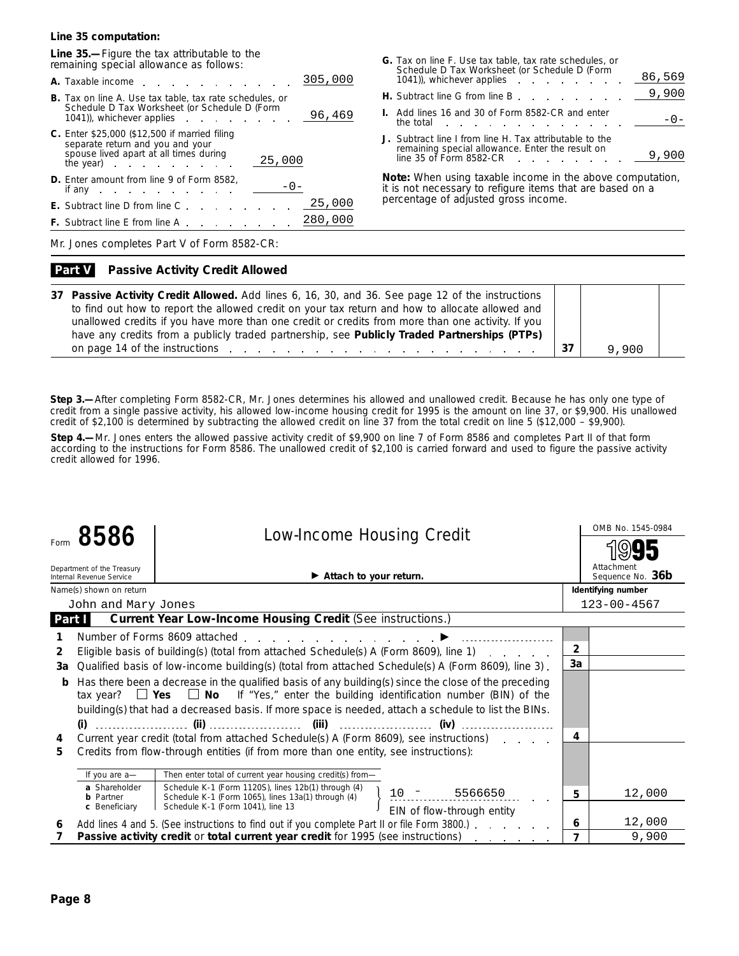### **Line 35 computation:**

**Line 35.—**Figure the tax attributable to the remaining special allowance as follows:

| 305,000                                                                                                                                                                                                                                      |
|----------------------------------------------------------------------------------------------------------------------------------------------------------------------------------------------------------------------------------------------|
| <b>B.</b> Tax on line A. Use tax table, tax rate schedules, or<br>Schedule D Tax Worksheet (or Schedule D (Form<br>96,469<br>1041), whichever applies a control of the control of the control of the control of the control of the control o |
| <b>C.</b> Enter \$25,000 (\$12,500 if married filing<br>separate return and you and your<br>spouse lived apart at all times during<br>25,000<br>the year) $\qquad \qquad \qquad$ .                                                           |
| <b>D.</b> Enter amount from line 9 of Form 8582,<br>if any $\qquad \qquad \ldots$                                                                                                                                                            |
| 25,000<br><b>Contractor</b><br><b>E.</b> Subtract line D from line C                                                                                                                                                                         |
| 280,000<br><b>F.</b> Subtract line E from line A.                                                                                                                                                                                            |

| G. Tax on line F. Use tax table, tax rate schedules, or<br>Schedule D Tax Worksheet (or Schedule D (Form                                                                                                                                                                                  |  |        |
|-------------------------------------------------------------------------------------------------------------------------------------------------------------------------------------------------------------------------------------------------------------------------------------------|--|--------|
| 1041), whichever applies extended to the set of the set of the set of the set of the set of the set of the set of the set of the set of the set of the set of the set of the set of the set of the set of the set of the set o                                                            |  | 86,569 |
| <b>H.</b> Subtract line G from line B end and a set of the Subtract line G from line B and a set of the Subset of the Subset of the Subset of the Subset of the Subset of the Subset of the Subset of the Subset of the Subset of t                                                       |  |        |
| <b>I.</b> Add lines 16 and 30 of Form 8582-CR and enter<br>the total the total the total the total the set of the set of the set of the set of the set of the set of the set of the set of the set of the set of the set of the set of the set of the set of the set of the set of the se |  |        |
| J. Subtract line I from line H. Tax attributable to the<br>remaining special allowance. Enter the result on<br>line 35 of Form 8582-CR                                                                                                                                                    |  |        |

**Note:** *When using taxable income in the above computation, it is not necessary to refigure items that are based on a percentage of adjusted gross income.*

Mr. Jones completes Part V of Form 8582-CR:

#### **Passive Activity Credit Allowed Part V**

| 37 Passive Activity Credit Allowed. Add lines 6, 16, 30, and 36. See page 12 of the instructions                                                                                                                               |       |  |
|--------------------------------------------------------------------------------------------------------------------------------------------------------------------------------------------------------------------------------|-------|--|
| to find out how to report the allowed credit on your tax return and how to allocate allowed and                                                                                                                                |       |  |
| unallowed credits if you have more than one credit or credits from more than one activity. If you                                                                                                                              |       |  |
| have any credits from a publicly traded partnership, see Publicly Traded Partnerships (PTPs)                                                                                                                                   |       |  |
| on page 14 of the instructions entering to the contract of the instructions of the contract of the contract of the contract of the contract of the contract of the contract of the contract of the contract of the contract of | 9,900 |  |

**Step 3.—**After completing Form 8582-CR, Mr. Jones determines his allowed and unallowed credit. Because he has only one type of credit from a single passive activity, his allowed low-income housing credit for 1995 is the amount on line 37, or \$9,900. His unallowed credit of \$2,100 is determined by subtracting the allowed credit on line 37 from the total credit on line 5 (\$12,000 – \$9,900).

**Step 4.—**Mr. Jones enters the allowed passive activity credit of \$9,900 on line 7 of Form 8586 and completes Part II of that form according to the instructions for Form 8586. The unallowed credit of \$2,100 is carried forward and used to figure the passive activity credit allowed for 1996.

|               | 8586                                                   | <b>Low-Income Housing Credit</b>                                                                                                                                                                                                                                                                               |                | OMB No. 1545-0984              |
|---------------|--------------------------------------------------------|----------------------------------------------------------------------------------------------------------------------------------------------------------------------------------------------------------------------------------------------------------------------------------------------------------------|----------------|--------------------------------|
|               |                                                        |                                                                                                                                                                                                                                                                                                                |                |                                |
|               | Department of the Treasury<br>Internal Revenue Service | Attach to your return.                                                                                                                                                                                                                                                                                         |                | Attachment<br>Sequence No. 36b |
|               | Name(s) shown on return                                |                                                                                                                                                                                                                                                                                                                |                | Identifying number             |
|               | John and Mary Jones                                    |                                                                                                                                                                                                                                                                                                                |                | $123 - 00 - 4567$              |
| <b>Part I</b> |                                                        | Current Year Low-Income Housing Credit (See instructions.)                                                                                                                                                                                                                                                     |                |                                |
|               |                                                        | Number of Forms 8609 attached entitled and the state of the state of the state of the state of the state of the                                                                                                                                                                                                |                |                                |
| 2             |                                                        | Eligible basis of building(s) (total from attached Schedule(s) A (Form 8609), line 1)                                                                                                                                                                                                                          | $\overline{2}$ |                                |
| За            |                                                        | Qualified basis of low-income building(s) (total from attached Schedule(s) A (Form 8609), line 3).                                                                                                                                                                                                             | 3a             |                                |
| b             |                                                        | Has there been a decrease in the qualified basis of any building(s) since the close of the preceding<br>tax year? $\Box$ Yes $\Box$ No If "Yes," enter the building identification number (BIN) of the<br>building(s) that had a decreased basis. If more space is needed, attach a schedule to list the BINs. |                |                                |
| 4             |                                                        | Current year credit (total from attached Schedule(s) A (Form 8609), see instructions)                                                                                                                                                                                                                          | 4              |                                |
| 5             |                                                        | Credits from flow-through entities (if from more than one entity, see instructions):                                                                                                                                                                                                                           |                |                                |
|               | If you are a-                                          | Then enter total of current year housing credit(s) from-                                                                                                                                                                                                                                                       |                |                                |
|               | a Shareholder<br><b>b</b> Partner                      | Schedule K-1 (Form 1120S), lines 12b(1) through (4)<br>5566650<br>Schedule K-1 (Form 1065), lines 13a(1) through (4)                                                                                                                                                                                           | 5              | 12,000                         |
|               | c Beneficiary                                          | Schedule K-1 (Form 1041), line 13<br>EIN of flow-through entity                                                                                                                                                                                                                                                |                |                                |
| 6             |                                                        | Add lines 4 and 5. (See instructions to find out if you complete Part II or file Form 3800.)                                                                                                                                                                                                                   | 6              | 12,000                         |
|               |                                                        | Passive activity credit or total current year credit for 1995 (see instructions)                                                                                                                                                                                                                               |                | 9,900                          |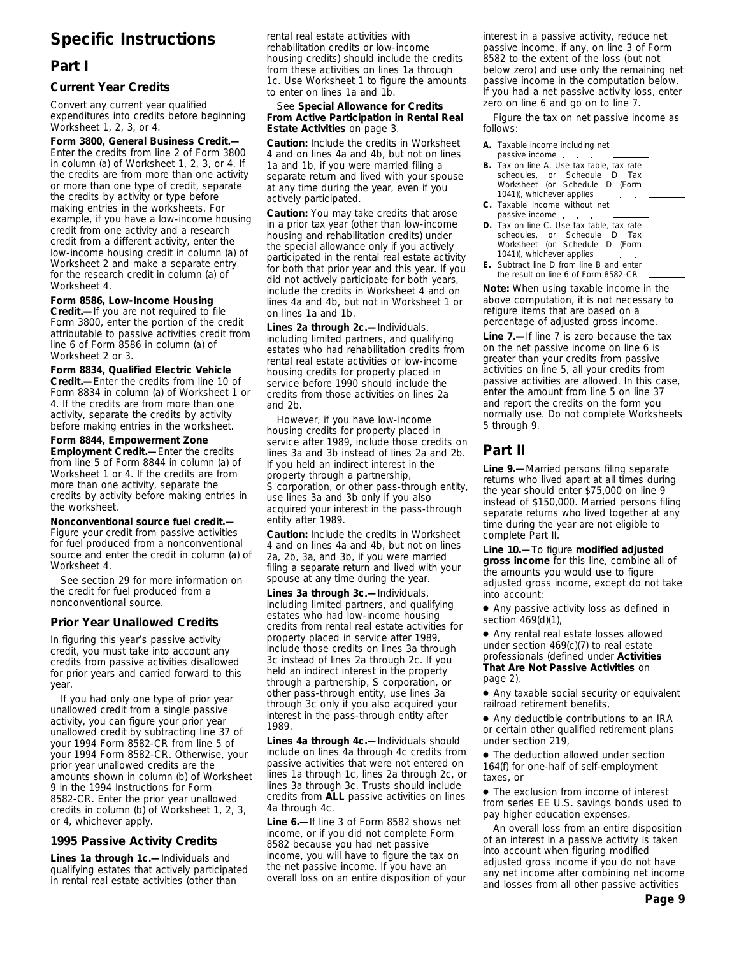# **Specific Instructions**

# **Part I**

### **Current Year Credits**

Convert any current year qualified expenditures into credits before beginning Worksheet 1, 2, 3, or 4.

**Form 3800, General Business Credit.—** Enter the credits from line 2 of Form 3800 in column (a) of Worksheet 1, 2, 3, or 4. If the credits are from more than one activity or more than one type of credit, separate the credits by activity or type before making entries in the worksheets. For example, if you have a low-income housing credit from one activity and a research credit from a different activity, enter the low-income housing credit in column (a) of Worksheet 2 and make a separate entry for the research credit in column (a) of Worksheet 4.

**Form 8586, Low-Income Housing**

**Credit.—**If you are not required to file Form 3800, enter the portion of the credit attributable to passive activities credit from line 6 of Form 8586 in column (a) of Worksheet 2 or 3.

**Form 8834, Qualified Electric Vehicle**

**Credit.—**Enter the credits from line 10 of Form 8834 in column (a) of Worksheet 1 or 4. If the credits are from more than one activity, separate the credits by activity before making entries in the worksheet.

**Form 8844, Empowerment Zone Employment Credit.—**Enter the credits from line 5 of Form 8844 in column (a) of Worksheet 1 or 4. If the credits are from more than one activity, separate the credits by activity before making entries in the worksheet.

**Nonconventional source fuel credit.—** Figure your credit from passive activities for fuel produced from a nonconventional source and enter the credit in column (a) of Worksheet 4.

See section 29 for more information on the credit for fuel produced from a nonconventional source.

### **Prior Year Unallowed Credits**

In figuring this year's passive activity credit, you must take into account any credits from passive activities disallowed for prior years and carried forward to this year.

If you had only one type of prior year unallowed credit from a single passive activity, you can figure your prior year unallowed credit by subtracting line 37 of your 1994 Form 8582-CR from line 5 of your 1994 Form 8582-CR. Otherwise, your prior year unallowed credits are the amounts shown in column (b) of Worksheet 9 in the 1994 Instructions for Form 8582-CR. Enter the prior year unallowed credits in column (b) of Worksheet 1, 2, 3, or 4, whichever apply.

### **1995 Passive Activity Credits**

**Lines 1a through 1c.—**Individuals and qualifying estates that actively participated in rental real estate activities (other than

rental real estate activities with rehabilitation credits or low-income housing credits) should include the credits from these activities on lines 1a through 1c. Use Worksheet 1 to figure the amounts to enter on lines 1a and 1b.

### See **Special Allowance for Credits From Active Participation in Rental Real Estate Activities** on page 3.

**Caution:** *Include the credits in Worksheet 4 and on lines 4a and 4b, but not on lines 1a and 1b, if you were married filing a separate return and lived with your spouse at any time during the year, even if you actively participated.*

**Caution:** *You may take credits that arose in a prior tax year (other than low-income housing and rehabilitation credits) under the special allowance only if you actively participated in the rental real estate activity for both that prior year and this year. If you did not actively participate for both years, include the credits in Worksheet 4 and on lines 4a and 4b, but not in Worksheet 1 or on lines 1a and 1b.*

**Lines 2a through 2c.—**Individuals, including limited partners, and qualifying estates who had rehabilitation credits from rental real estate activities or low-income housing credits for property placed in service before 1990 should include the credits from those activities on lines 2a and 2b.

However, if you have low-income housing credits for property placed in service after 1989, include those credits on lines 3a and 3b instead of lines 2a and 2b. If you held an indirect interest in the property through a partnership, S corporation, or other pass-through entity, use lines 3a and 3b only if you also acquired your interest in the pass-through entity after 1989.

**Caution:** *Include the credits in Worksheet 4 and on lines 4a and 4b, but not on lines 2a, 2b, 3a, and 3b, if you were married filing a separate return and lived with your spouse at any time during the year.*

**Lines 3a through 3c.—**Individuals, including limited partners, and qualifying estates who had low-income housing credits from rental real estate activities for property placed in service after 1989, include those credits on lines 3a through 3c instead of lines 2a through 2c. If you held an indirect interest in the property through a partnership, S corporation, or other pass-through entity, use lines 3a through 3c only if you also acquired your interest in the pass-through entity after 1989.

**Lines 4a through 4c.—**Individuals should include on lines 4a through 4c credits from passive activities that were not entered on lines 1a through 1c, lines 2a through 2c, or lines 3a through 3c. Trusts should include credits from **ALL** passive activities on lines 4a through 4c.

**Line 6.—**If line 3 of Form 8582 shows net income, or if you did not complete Form 8582 because you had net passive income, you will have to figure the tax on the net passive income. If you have an overall loss on an entire disposition of your interest in a passive activity, reduce net passive income, if any, on line 3 of Form 8582 to the extent of the loss (but not below zero) and use only the remaining net passive income in the computation below. If you had a net passive activity loss, enter zero on line 6 and go on to line 7.

Figure the tax on net passive income as follows:

- **A.** Taxable income including net passive income
- **B.** Tax on line A. Use tax table, tax rate schedules, or Schedule D Tax Worksheet (or Schedule D (Form 1041)), whichever applies  $\mathcal{L}$
- **C.** Taxable income without net passive income
- **D.** Tax on line C. Use tax table, tax rate schedules, or Schedule D Tax Worksheet (or Schedule D (Form 1041)), whichever applies
- **E.** Subtract line D from line B and enter the result on line 6 of Form 8582-CR

**Note:** *When using taxable income in the above computation, it is not necessary to refigure items that are based on a percentage of adjusted gross income.*

**Line 7.—**If line 7 is zero because the tax on the net passive income on line 6 is greater than your credits from passive activities on line 5, all your credits from passive activities are allowed. In this case, enter the amount from line 5 on line 37 and report the credits on the form you normally use. Do not complete Worksheets 5 through 9.

# **Part II**

**Line 9.—**Married persons filing separate returns who lived apart at all times during the year should enter \$75,000 on line 9 instead of \$150,000. Married persons filing separate returns who lived together at any time during the year are not eligible to complete Part II.

**Line 10.—**To figure **modified adjusted gross income** for this line, combine all of the amounts you would use to figure adjusted gross income, except do not take into account:

● Any passive activity loss as defined in section 469(d)(1),

● Any rental real estate losses allowed under section 469(c)(7) to real estate professionals (defined under **Activities That Are Not Passive Activities** on page 2),

● Any taxable social security or equivalent railroad retirement benefits,

● Any deductible contributions to an IRA or certain other qualified retirement plans under section 219,

• The deduction allowed under section 164(f) for one-half of self-employment taxes, or

● The exclusion from income of interest from series EE U.S. savings bonds used to pay higher education expenses.

An overall loss from an entire disposition of an interest in a passive activity is taken into account when figuring modified adjusted gross income if you do not have any net income after combining net income and losses from all other passive activities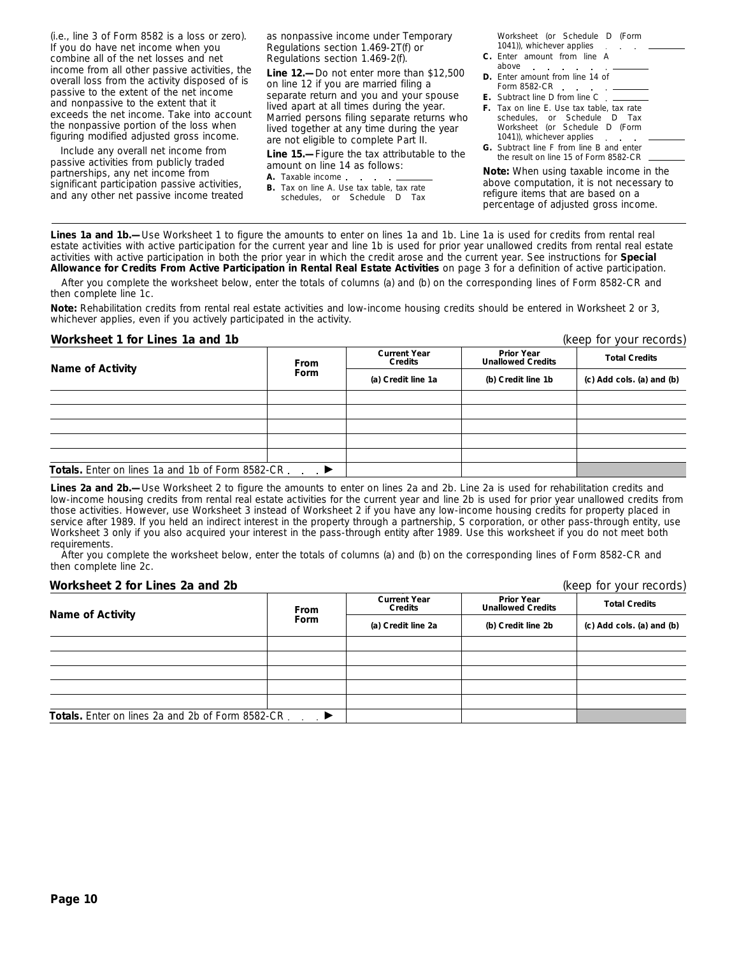(i.e., line 3 of Form 8582 is a loss or zero). If you do have net income when you combine all of the net losses and net income from all other passive activities, the overall loss from the activity disposed of is passive to the extent of the net income and nonpassive to the extent that it exceeds the net income. Take into account the nonpassive portion of the loss when figuring modified adjusted gross income.

Include any overall net income from passive activities from publicly traded partnerships, any net income from significant participation passive activities, and any other net passive income treated as nonpassive income under Temporary Regulations section 1.469-2T(f) or Regulations section 1.469-2(f).

**Line 12.—**Do not enter more than \$12,500 on line 12 if you are married filing a separate return and you and your spouse lived apart at all times during the year. Married persons filing separate returns who lived together at any time during the year are not eligible to complete Part II.

**Line 15.—**Figure the tax attributable to the amount on line 14 as follows:

- **A.** Taxable income
- **B.** Tax on line A. Use tax table, tax rate schedules, or Schedule D Tax

Worksheet (or Schedule D (Form 1041)), whichever applies .

- **C.** Enter amount from line A above
- **D.** Enter amount from line 14 of Form 8582-CR
- **E.** Subtract line D from line C . .
- **F.** Tax on line E. Use tax table, tax rate schedules, or Schedule D Tax Worksheet (or Schedule D (Form
- 1041)), whichever applies **G.** Subtract line F from line B and enter the result on line 15 of Form 8582-CR

**Note:** *When using taxable income in the above computation, it is not necessary to refigure items that are based on a percentage of adjusted gross income.*

**Lines 1a and 1b.—**Use Worksheet 1 to figure the amounts to enter on lines 1a and 1b. Line 1a is used for credits from rental real estate activities with active participation for the current year and line 1b is used for prior year unallowed credits from rental real estate activities with active participation in both the prior year in which the credit arose and the current year. See instructions for **Special Allowance for Credits From Active Participation in Rental Real Estate Activities** on page 3 for a definition of active participation.

After you complete the worksheet below, enter the totals of columns (a) and (b) on the corresponding lines of Form 8582-CR and then complete line 1c.

**Note:** *Rehabilitation credits from rental real estate activities and low-income housing credits should be entered in Worksheet 2 or 3, whichever applies, even if you actively participated in the activity.*

### **Worksheet 1 for Lines 1a and 1b** (keep for your records)

|                                                   | <b>From</b> | <b>Current Year</b><br>Credits | <b>Prior Year</b><br><b>Unallowed Credits</b> | <b>Total Credits</b>      |
|---------------------------------------------------|-------------|--------------------------------|-----------------------------------------------|---------------------------|
| <b>Name of Activity</b>                           | Form        | (a) Credit line 1a             | (b) Credit line 1b                            | (c) Add cols. (a) and (b) |
|                                                   |             |                                |                                               |                           |
|                                                   |             |                                |                                               |                           |
|                                                   |             |                                |                                               |                           |
|                                                   |             |                                |                                               |                           |
|                                                   |             |                                |                                               |                           |
| Totals. Enter on lines 1a and 1b of Form 8582-CR. |             |                                |                                               |                           |

Lines 2a and 2b.—Use Worksheet 2 to figure the amounts to enter on lines 2a and 2b. Line 2a is used for rehabilitation credits and low-income housing credits from rental real estate activities for the current year and line 2b is used for prior year unallowed credits from those activities. However, use Worksheet 3 instead of Worksheet 2 if you have any low-income housing credits for property placed in service after 1989. If you held an indirect interest in the property through a partnership, S corporation, or other pass-through entity, use Worksheet 3 only if you also acquired your interest in the pass-through entity after 1989. Use this worksheet if you do not meet both requirements.

After you complete the worksheet below, enter the totals of columns (a) and (b) on the corresponding lines of Form 8582-CR and then complete line 2c.

### **Worksheet 2 for Lines 2a and 2b** (keep for your records)

| Name of Activity                                        | From                       | <b>Current Year</b><br>Credits | <b>Prior Year</b><br><b>Unallowed Credits</b> | <b>Total Credits</b>      |  |
|---------------------------------------------------------|----------------------------|--------------------------------|-----------------------------------------------|---------------------------|--|
|                                                         | Form<br>(a) Credit line 2a |                                | (b) Credit line 2b                            | (c) Add cols. (a) and (b) |  |
|                                                         |                            |                                |                                               |                           |  |
|                                                         |                            |                                |                                               |                           |  |
|                                                         |                            |                                |                                               |                           |  |
|                                                         |                            |                                |                                               |                           |  |
|                                                         |                            |                                |                                               |                           |  |
| <b>Totals.</b> Enter on lines 2a and 2b of Form 8582-CR |                            |                                |                                               |                           |  |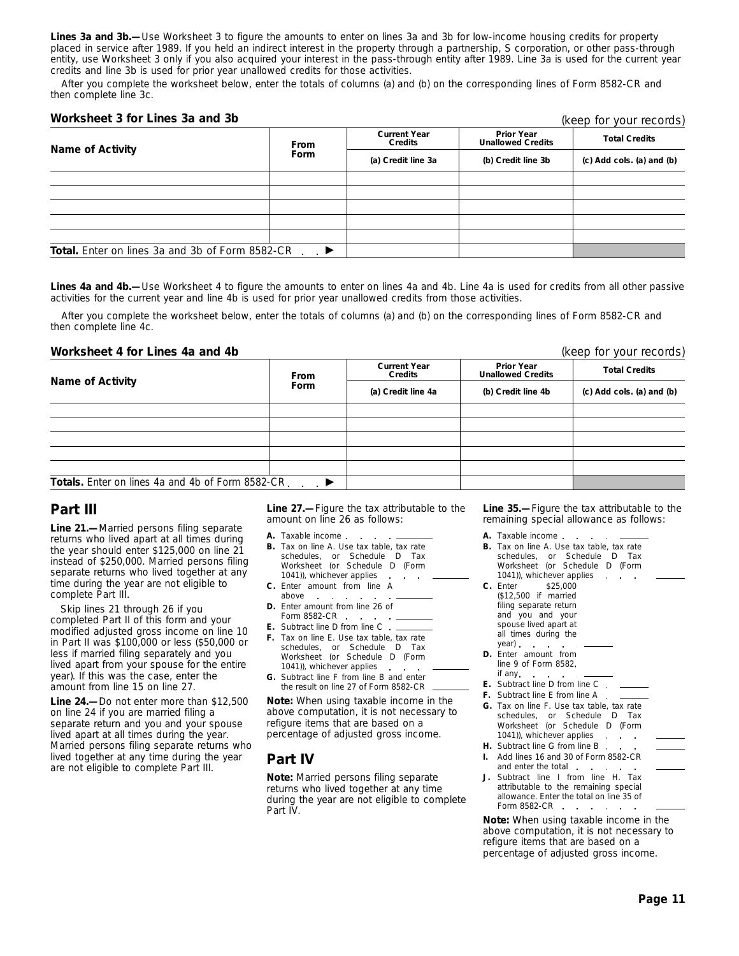**Lines 3a and 3b.—**Use Worksheet 3 to figure the amounts to enter on lines 3a and 3b for low-income housing credits for property placed in service after 1989. If you held an indirect interest in the property through a partnership, S corporation, or other pass-through entity, use Worksheet 3 only if you also acquired your interest in the pass-through entity after 1989. Line 3a is used for the current year credits and line 3b is used for prior year unallowed credits for those activities.

After you complete the worksheet below, enter the totals of columns (a) and (b) on the corresponding lines of Form 8582-CR and then complete line 3c.

### **Worksheet 3 for Lines 3a and 3b**

(keep for your records)

| Name of Activity                                       | From                    | <b>Current Year</b><br>Credits | <b>Prior Year</b><br><b>Unallowed Credits</b> | <b>Total Credits</b>      |  |
|--------------------------------------------------------|-------------------------|--------------------------------|-----------------------------------------------|---------------------------|--|
|                                                        | Form                    | (a) Credit line 3a             | (b) Credit line 3b                            | (c) Add cols. (a) and (b) |  |
|                                                        |                         |                                |                                               |                           |  |
|                                                        |                         |                                |                                               |                           |  |
|                                                        |                         |                                |                                               |                           |  |
|                                                        |                         |                                |                                               |                           |  |
|                                                        |                         |                                |                                               |                           |  |
| <b>Total.</b> Enter on lines 3a and 3b of Form 8582-CR | . $\blacktriangleright$ |                                |                                               |                           |  |

Lines 4a and 4b.—Use Worksheet 4 to figure the amounts to enter on lines 4a and 4b. Line 4a is used for credits from all other passive activities for the current year and line 4b is used for prior year unallowed credits from those activities.

After you complete the worksheet below, enter the totals of columns (a) and (b) on the corresponding lines of Form 8582-CR and then complete line 4c.

### **Worksheet 4 for Lines 4a and 4b** (keep for your records)

|                                                   | <b>From</b> | <b>Current Year</b><br>Credits | <b>Prior Year</b><br><b>Unallowed Credits</b> | <b>Total Credits</b>      |  |
|---------------------------------------------------|-------------|--------------------------------|-----------------------------------------------|---------------------------|--|
| <b>Name of Activity</b>                           | Form        | (a) Credit line 4a             | (b) Credit line 4b                            | (c) Add cols. (a) and (b) |  |
|                                                   |             |                                |                                               |                           |  |
|                                                   |             |                                |                                               |                           |  |
|                                                   |             |                                |                                               |                           |  |
|                                                   |             |                                |                                               |                           |  |
|                                                   |             |                                |                                               |                           |  |
| Totals. Enter on lines 4a and 4b of Form 8582-CR. |             |                                |                                               |                           |  |

# **Part III**

**Line 21.—**Married persons filing separate returns who lived apart at all times during the year should enter \$125,000 on line 21 instead of \$250,000. Married persons filing separate returns who lived together at any time during the year are not eligible to complete Part III.

Skip lines 21 through 26 if you completed Part II of this form and your modified adjusted gross income on line 10 in Part II was \$100,000 or less (\$50,000 or less if married filing separately and you lived apart from your spouse for the entire year). If this was the case, enter the amount from line 15 on line 27.

**Line 24.—**Do not enter more than \$12,500 on line 24 if you are married filing a separate return and you and your spouse lived apart at all times during the year. Married persons filing separate returns who lived together at any time during the year are not eligible to complete Part III.

**Line 27.—**Figure the tax attributable to the amount on line 26 as follows:

- **A.** Taxable income
- **B.** Tax on line A. Use tax table, tax rate schedules, or Schedule D Tax Worksheet (or Schedule D (Form 1041)), whichever applies
- **C.** Enter amount from line A
- above **D.** Enter amount from line 26 of Form 8582-CR
- **E.** Subtract line D from line C
- **F.** Tax on line E. Use tax table, tax rate schedules, or Schedule D Tax Worksheet (or Schedule D (Form 1041)), whichever applies
- **G.** Subtract line F from line B and enter the result on line 27 of Form 8582-CR

**Note:** *When using taxable income in the above computation, it is not necessary to refigure items that are based on a percentage of adjusted gross income.*

# **Part IV**

**Note:** *Married persons filing separate returns who lived together at any time during the year are not eligible to complete Part IV.*

**Line 35.—**Figure the tax attributable to the remaining special allowance as follows:

- **A.** Taxable income **B.** Tax on line A. Use tax table, tax rate schedules, or Schedule D Tax Worksheet (or Schedule D (Form 1041)), whichever applies **C.** Enter \$25,000 (\$12,500 if married filing separate return and you and your spouse lived apart at all times during the year) **D.** Enter amount from line 9 of Form 8582, if any **E.** Subtract line D from line C **F.** Subtract line E from line A **G.** Tax on line F. Use tax table, tax rate schedules, or Schedule D Tax Worksheet (or Schedule D (Form 1041)), whichever applies . . . . . **H.** Subtract line G from line B.
- **I.** Add lines 16 and 30 of Form 8582-CR and enter the total . . Subtract line I from line H. Tax
- attributable to the remaining special allowance. Enter the total on line 35 of Form 8582-CR . . . . . .

**Note:** *When using taxable income in the above computation, it is not necessary to refigure items that are based on a percentage of adjusted gross income.*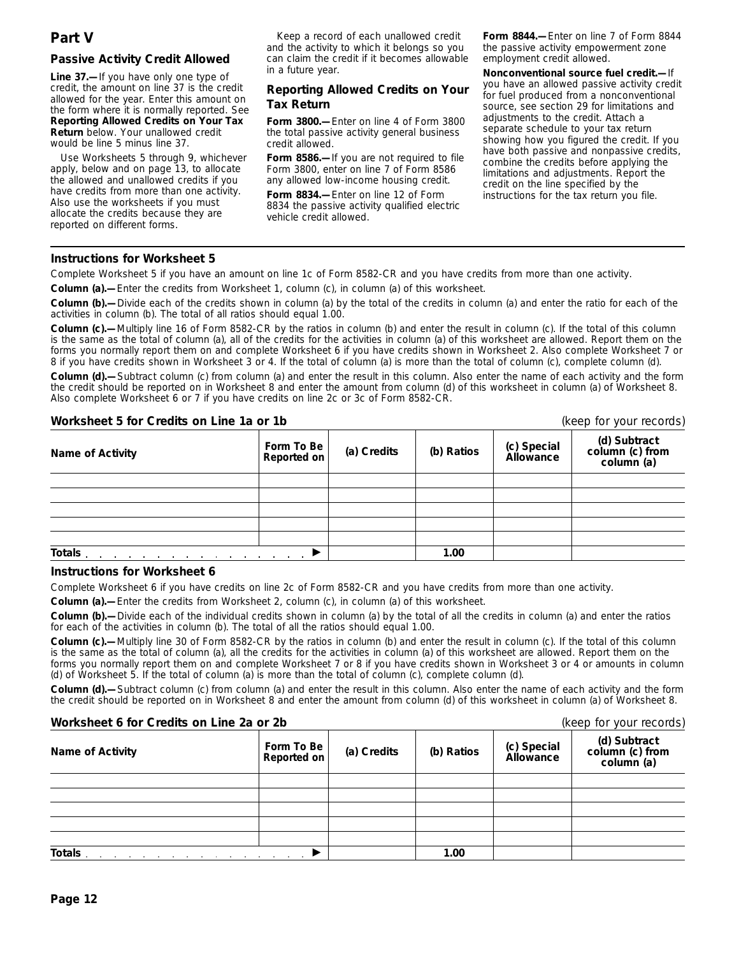### **Passive Activity Credit Allowed**

**Line 37.—**If you have only one type of credit, the amount on line 37 is the credit allowed for the year. Enter this amount on the form where it is normally reported. See **Reporting Allowed Credits on Your Tax Return** below. Your unallowed credit would be line 5 minus line 37.

Use Worksheets 5 through 9, whichever apply, below and on page 13, to allocate the allowed and unallowed credits if you have credits from more than one activity. Also use the worksheets if you must allocate the credits because they are reported on different forms.

Keep a record of each unallowed credit and the activity to which it belongs so you can claim the credit if it becomes allowable in a future year.

### **Reporting Allowed Credits on Your Tax Return**

**Form 3800.—**Enter on line 4 of Form 3800 the total passive activity general business credit allowed.

**Form 8586.—**If you are not required to file Form 3800, enter on line 7 of Form 8586 any allowed low-income housing credit.

**Form 8834.—**Enter on line 12 of Form 8834 the passive activity qualified electric vehicle credit allowed.

**Form 8844.—**Enter on line 7 of Form 8844 the passive activity empowerment zone employment credit allowed.

**Nonconventional source fuel credit.—**If you have an allowed passive activity credit for fuel produced from a nonconventional source, see section 29 for limitations and adjustments to the credit. Attach a separate schedule to your tax return showing how you figured the credit. If you have both passive and nonpassive credits, combine the credits before applying the limitations and adjustments. Report the credit on the line specified by the instructions for the tax return you file.

### **Instructions for Worksheet 5**

Complete Worksheet 5 if you have an amount on line 1c of Form 8582-CR and you have credits from more than one activity.

**Column (a).—**Enter the credits from Worksheet 1, column (c), in column (a) of this worksheet.

**Column (b).—**Divide each of the credits shown in column (a) by the total of the credits in column (a) and enter the ratio for each of the activities in column (b). The total of all ratios should equal 1.00.

**Column (c).—**Multiply line 16 of Form 8582-CR by the ratios in column (b) and enter the result in column (c). If the total of this column is the same as the total of column (a), all of the credits for the activities in column (a) of this worksheet are allowed. Report them on the forms you normally report them on and complete Worksheet 6 if you have credits shown in Worksheet 2. Also complete Worksheet 7 or 8 if you have credits shown in Worksheet 3 or 4. If the total of column (a) is more than the total of column (c), complete column (d).

**Column (d).—**Subtract column (c) from column (a) and enter the result in this column. Also enter the name of each activity and the form the credit should be reported on in Worksheet 8 and enter the amount from column (d) of this worksheet in column (a) of Worksheet 8. Also complete Worksheet 6 or 7 if you have credits on line 2c or 3c of Form 8582-CR.

### **Worksheet 5 for Credits on Line 1a or 1b** (*keep for your records*)

| <u>WORD ON SHOULD UP OF SHOULD UP TO BE THE THE THREE IN THE THE THREE IN THE THREE IN THE THREE IN THE THREE IN </u> |                           | $(100 \times 101 \times 100)$ |            |                          |                                               |
|-----------------------------------------------------------------------------------------------------------------------|---------------------------|-------------------------------|------------|--------------------------|-----------------------------------------------|
| Name of Activity                                                                                                      | Form To Be<br>Reported on | (a) Credits                   | (b) Ratios | (c) Special<br>Allowance | (d) Subtract<br>column (c) from<br>column (a) |
|                                                                                                                       |                           |                               |            |                          |                                               |
|                                                                                                                       |                           |                               |            |                          |                                               |
|                                                                                                                       |                           |                               |            |                          |                                               |
|                                                                                                                       |                           |                               |            |                          |                                               |
|                                                                                                                       |                           |                               |            |                          |                                               |
| Totals and a series and a series of the series of the series of the series of the series of the series of the         |                           | 1.00                          |            |                          |                                               |

### **Instructions for Worksheet 6**

Complete Worksheet 6 if you have credits on line 2c of Form 8582-CR and you have credits from more than one activity.

**Column (a).—**Enter the credits from Worksheet 2, column (c), in column (a) of this worksheet.

**Column (b).—**Divide each of the individual credits shown in column (a) by the total of all the credits in column (a) and enter the ratios for each of the activities in column (b). The total of all the ratios should equal 1.00.

**Column (c).—**Multiply line 30 of Form 8582-CR by the ratios in column (b) and enter the result in column (c). If the total of this column is the same as the total of column (a), all the credits for the activities in column (a) of this worksheet are allowed. Report them on the forms you normally report them on and complete Worksheet 7 or 8 if you have credits shown in Worksheet 3 or 4 or amounts in column (d) of Worksheet 5. If the total of column (a) is more than the total of column (c), complete column (d).

**Column (d).—**Subtract column (c) from column (a) and enter the result in this column. Also enter the name of each activity and the form the credit should be reported on in Worksheet 8 and enter the amount from column (d) of this worksheet in column (a) of Worksheet 8.

| Worksheet 6 for Credits on Line 2a or 2b                                                   |                           | (keep for your records) |            |                          |                                               |
|--------------------------------------------------------------------------------------------|---------------------------|-------------------------|------------|--------------------------|-----------------------------------------------|
| <b>Name of Activity</b>                                                                    | Form To Be<br>Reported on | (a) Credits             | (b) Ratios | (c) Special<br>Allowance | (d) Subtract<br>column (c) from<br>column (a) |
|                                                                                            |                           |                         |            |                          |                                               |
|                                                                                            |                           |                         |            |                          |                                               |
|                                                                                            |                           |                         |            |                          |                                               |
|                                                                                            |                           |                         |            |                          |                                               |
|                                                                                            |                           |                         |            |                          |                                               |
| Totals.<br>the contract of the contract of the contract of the contract of the contract of |                           |                         | 1.00       |                          |                                               |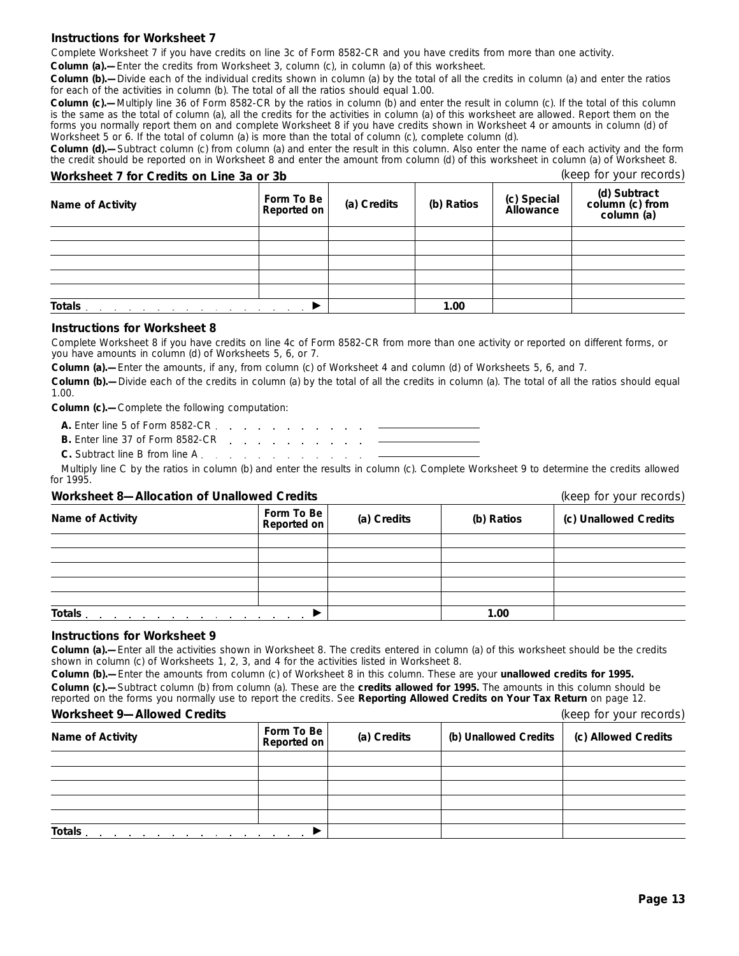### **Instructions for Worksheet 7**

Complete Worksheet 7 if you have credits on line 3c of Form 8582-CR and you have credits from more than one activity.

**Column (a).—**Enter the credits from Worksheet 3, column (c), in column (a) of this worksheet.

**Column (b).—**Divide each of the individual credits shown in column (a) by the total of all the credits in column (a) and enter the ratios for each of the activities in column (b). The total of all the ratios should equal 1.00.

**Column (c).—**Multiply line 36 of Form 8582-CR by the ratios in column (b) and enter the result in column (c). If the total of this column is the same as the total of column (a), all the credits for the activities in column (a) of this worksheet are allowed. Report them on the forms you normally report them on and complete Worksheet 8 if you have credits shown in Worksheet 4 or amounts in column (d) of Worksheet 5 or 6. If the total of column (a) is more than the total of column (c), complete column (d).

**Column (d).—**Subtract column (c) from column (a) and enter the result in this column. Also enter the name of each activity and the form the credit should be reported on in Worksheet 8 and enter the amount from column (d) of this worksheet in column (a) of Worksheet 8.

| Worksheet 7 for Credits on Line 3a or 3b |                                  | (keep for your records) |            |                          |                                               |
|------------------------------------------|----------------------------------|-------------------------|------------|--------------------------|-----------------------------------------------|
| <b>Name of Activity</b>                  | Form To Be<br><b>Reported on</b> | (a) Credits             | (b) Ratios | (c) Special<br>Allowance | (d) Subtract<br>column (c) from<br>column (a) |
|                                          |                                  |                         |            |                          |                                               |
|                                          |                                  |                         |            |                          |                                               |
|                                          |                                  |                         |            |                          |                                               |
|                                          |                                  |                         |            |                          |                                               |
|                                          |                                  |                         |            |                          |                                               |
| Totals <u>.</u>                          |                                  |                         | 1.00       |                          |                                               |

### **Instructions for Worksheet 8**

Complete Worksheet 8 if you have credits on line 4c of Form 8582-CR from more than one activity or reported on different forms, or you have amounts in column (d) of Worksheets 5, 6, or 7.

**Column (a).—**Enter the amounts, if any, from column (c) of Worksheet 4 and column (d) of Worksheets 5, 6, and 7.

**Column (b).—**Divide each of the credits in column (a) by the total of all the credits in column (a). The total of all the ratios should equal 1.00.

**Column (c).—**Complete the following computation:

| A. Enter line 5 of Form 8582-CR enter the contract of the state of the state of the state of the state of the state of the state of the state of the state of the state of the state of the state of the state of the state of |  |  |  |  |  |  |
|--------------------------------------------------------------------------------------------------------------------------------------------------------------------------------------------------------------------------------|--|--|--|--|--|--|
|                                                                                                                                                                                                                                |  |  |  |  |  |  |
|                                                                                                                                                                                                                                |  |  |  |  |  |  |

**C.** Subtract line B from line A

Multiply line C by the ratios in column (b) and enter the results in column (c). Complete Worksheet 9 to determine the credits allowed for 1995.

### **Worksheet 8—Allocation of Unallowed Credits** (*keep for your records*)

|                                                                                                                            | $1.000$ $1.000$ $1.000$ $1.000$ |             |            |                       |
|----------------------------------------------------------------------------------------------------------------------------|---------------------------------|-------------|------------|-----------------------|
| Name of Activity                                                                                                           | Form To Be<br>Reported on       | (a) Credits | (b) Ratios | (c) Unallowed Credits |
|                                                                                                                            |                                 |             |            |                       |
|                                                                                                                            |                                 |             |            |                       |
|                                                                                                                            |                                 |             |            |                       |
|                                                                                                                            |                                 |             |            |                       |
|                                                                                                                            |                                 |             |            |                       |
| Totals.<br>the contract of the contract of the contract of the contract of the contract of the contract of the contract of |                                 |             | 1.00       |                       |

### **Instructions for Worksheet 9**

**Column (a).—**Enter all the activities shown in Worksheet 8. The credits entered in column (a) of this worksheet should be the credits shown in column (c) of Worksheets 1, 2, 3, and 4 for the activities listed in Worksheet 8.

**Column (b).—**Enter the amounts from column (c) of Worksheet 8 in this column. These are your **unallowed credits for 1995. Column (c).—**Subtract column (b) from column (a). These are the **credits allowed for 1995.** The amounts in this column should be reported on the forms you normally use to report the credits. See **Reporting Allowed Credits on Your Tax Return** on page 12.

### **Worksheet 9—Allowed Credits** (keep for your records)

| <b>THE PHONE AND SERVICE SERVICE</b>                                                                                                                                                                                                      | $(100)$ ior your records      |             |                       |                     |
|-------------------------------------------------------------------------------------------------------------------------------------------------------------------------------------------------------------------------------------------|-------------------------------|-------------|-----------------------|---------------------|
| <b>Name of Activity</b>                                                                                                                                                                                                                   | Form To Be $ $<br>Reported on | (a) Credits | (b) Unallowed Credits | (c) Allowed Credits |
|                                                                                                                                                                                                                                           |                               |             |                       |                     |
|                                                                                                                                                                                                                                           |                               |             |                       |                     |
|                                                                                                                                                                                                                                           |                               |             |                       |                     |
|                                                                                                                                                                                                                                           |                               |             |                       |                     |
|                                                                                                                                                                                                                                           |                               |             |                       |                     |
| Totals.<br>the contract of the contract of the contract of the contract of the contract of the contract of the contract of the contract of the contract of the contract of the contract of the contract of the contract of the contract o |                               |             |                       |                     |